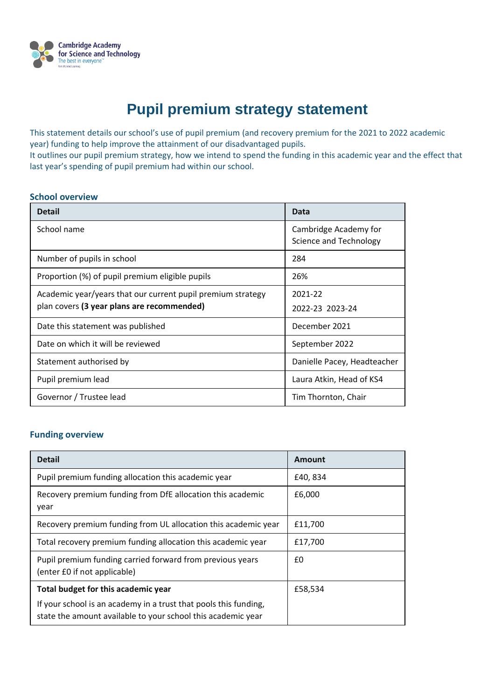

# **Pupil premium strategy statement**

This statement details our school's use of pupil premium (and recovery premium for the 2021 to 2022 academic year) funding to help improve the attainment of our disadvantaged pupils.

It outlines our pupil premium strategy, how we intend to spend the funding in this academic year and the effect that last year's spending of pupil premium had within our school.

#### **School overview**

| <b>Detail</b>                                                                                             | Data                                            |
|-----------------------------------------------------------------------------------------------------------|-------------------------------------------------|
| School name                                                                                               | Cambridge Academy for<br>Science and Technology |
| Number of pupils in school                                                                                | 284                                             |
| Proportion (%) of pupil premium eligible pupils                                                           | 26%                                             |
| Academic year/years that our current pupil premium strategy<br>plan covers (3 year plans are recommended) | 2021-22<br>2022-23 2023-24                      |
| Date this statement was published                                                                         | December 2021                                   |
| Date on which it will be reviewed                                                                         | September 2022                                  |
| Statement authorised by                                                                                   | Danielle Pacey, Headteacher                     |
| Pupil premium lead                                                                                        | Laura Atkin, Head of KS4                        |
| Governor / Trustee lead                                                                                   | Tim Thornton, Chair                             |

### **Funding overview**

| <b>Detail</b>                                                                                                                    | Amount   |
|----------------------------------------------------------------------------------------------------------------------------------|----------|
| Pupil premium funding allocation this academic year                                                                              | £40, 834 |
| Recovery premium funding from DfE allocation this academic<br>year                                                               | £6,000   |
| Recovery premium funding from UL allocation this academic year                                                                   | £11,700  |
| Total recovery premium funding allocation this academic year                                                                     | £17,700  |
| Pupil premium funding carried forward from previous years<br>(enter £0 if not applicable)                                        | £0       |
| Total budget for this academic year                                                                                              | £58,534  |
| If your school is an academy in a trust that pools this funding,<br>state the amount available to your school this academic year |          |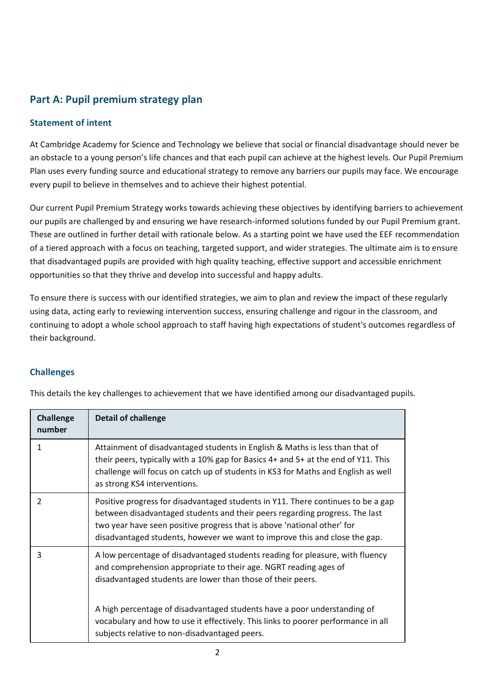# **Part A: Pupil premium strategy plan**

### **Statement of intent**

At Cambridge Academy for Science and Technology we believe that social or financial disadvantage should never be an obstacle to a young person's life chances and that each pupil can achieve at the highest levels. Our Pupil Premium Plan uses every funding source and educational strategy to remove any barriers our pupils may face. We encourage every pupil to believe in themselves and to achieve their highest potential.

Our current Pupil Premium Strategy works towards achieving these objectives by identifying barriers to achievement our pupils are challenged by and ensuring we have research-informed solutions funded by our Pupil Premium grant. These are outlined in further detail with rationale below. As a starting point we have used the EEF recommendation of a tiered approach with a focus on teaching, targeted support, and wider strategies. The ultimate aim is to ensure that disadvantaged pupils are provided with high quality teaching, effective support and accessible enrichment opportunities so that they thrive and develop into successful and happy adults.

To ensure there is success with our identified strategies, we aim to plan and review the impact of these regularly using data, acting early to reviewing intervention success, ensuring challenge and rigour in the classroom, and continuing to adopt a whole school approach to staff having high expectations of student's outcomes regardless of their background.

### **Challenges**

| <b>Challenge</b><br>number | <b>Detail of challenge</b>                                                                                                                                                                                                                                                                                               |
|----------------------------|--------------------------------------------------------------------------------------------------------------------------------------------------------------------------------------------------------------------------------------------------------------------------------------------------------------------------|
| 1                          | Attainment of disadvantaged students in English & Maths is less than that of<br>their peers, typically with a 10% gap for Basics 4+ and 5+ at the end of Y11. This<br>challenge will focus on catch up of students in KS3 for Maths and English as well<br>as strong KS4 interventions.                                  |
| $\mathfrak{p}$             | Positive progress for disadvantaged students in Y11. There continues to be a gap<br>between disadvantaged students and their peers regarding progress. The last<br>two year have seen positive progress that is above 'national other' for<br>disadvantaged students, however we want to improve this and close the gap. |
| 3                          | A low percentage of disadvantaged students reading for pleasure, with fluency<br>and comprehension appropriate to their age. NGRT reading ages of<br>disadvantaged students are lower than those of their peers.                                                                                                         |
|                            | A high percentage of disadvantaged students have a poor understanding of<br>vocabulary and how to use it effectively. This links to poorer performance in all<br>subjects relative to non-disadvantaged peers.                                                                                                           |

This details the key challenges to achievement that we have identified among our disadvantaged pupils.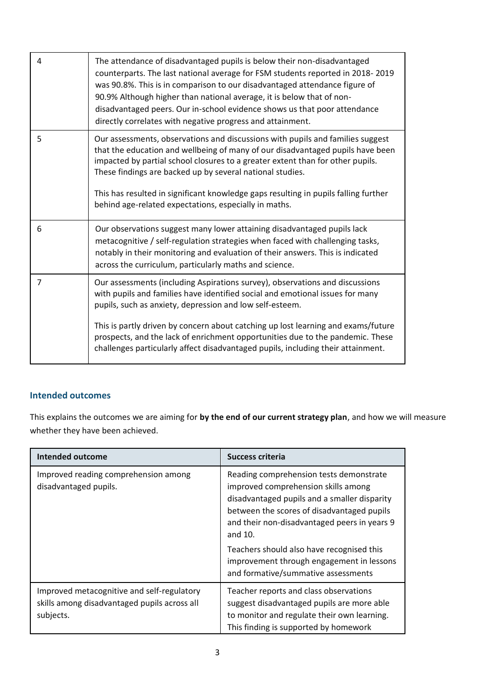| 4 | The attendance of disadvantaged pupils is below their non-disadvantaged<br>counterparts. The last national average for FSM students reported in 2018-2019<br>was 90.8%. This is in comparison to our disadvantaged attendance figure of<br>90.9% Although higher than national average, it is below that of non-<br>disadvantaged peers. Our in-school evidence shows us that poor attendance<br>directly correlates with negative progress and attainment.                          |
|---|--------------------------------------------------------------------------------------------------------------------------------------------------------------------------------------------------------------------------------------------------------------------------------------------------------------------------------------------------------------------------------------------------------------------------------------------------------------------------------------|
| 5 | Our assessments, observations and discussions with pupils and families suggest<br>that the education and wellbeing of many of our disadvantaged pupils have been<br>impacted by partial school closures to a greater extent than for other pupils.<br>These findings are backed up by several national studies.<br>This has resulted in significant knowledge gaps resulting in pupils falling further<br>behind age-related expectations, especially in maths.                      |
| 6 | Our observations suggest many lower attaining disadvantaged pupils lack<br>metacognitive / self-regulation strategies when faced with challenging tasks,<br>notably in their monitoring and evaluation of their answers. This is indicated<br>across the curriculum, particularly maths and science.                                                                                                                                                                                 |
| 7 | Our assessments (including Aspirations survey), observations and discussions<br>with pupils and families have identified social and emotional issues for many<br>pupils, such as anxiety, depression and low self-esteem.<br>This is partly driven by concern about catching up lost learning and exams/future<br>prospects, and the lack of enrichment opportunities due to the pandemic. These<br>challenges particularly affect disadvantaged pupils, including their attainment. |
|   |                                                                                                                                                                                                                                                                                                                                                                                                                                                                                      |

### **Intended outcomes**

This explains the outcomes we are aiming for **by the end of our current strategy plan**, and how we will measure whether they have been achieved.

| <b>Intended outcome</b>                                                                                 | <b>Success criteria</b>                                                                                                                                                                                                                 |
|---------------------------------------------------------------------------------------------------------|-----------------------------------------------------------------------------------------------------------------------------------------------------------------------------------------------------------------------------------------|
| Improved reading comprehension among<br>disadvantaged pupils.                                           | Reading comprehension tests demonstrate<br>improved comprehension skills among<br>disadvantaged pupils and a smaller disparity<br>between the scores of disadvantaged pupils<br>and their non-disadvantaged peers in years 9<br>and 10. |
|                                                                                                         | Teachers should also have recognised this<br>improvement through engagement in lessons<br>and formative/summative assessments                                                                                                           |
| Improved metacognitive and self-regulatory<br>skills among disadvantaged pupils across all<br>subjects. | Teacher reports and class observations<br>suggest disadvantaged pupils are more able<br>to monitor and regulate their own learning.<br>This finding is supported by homework                                                            |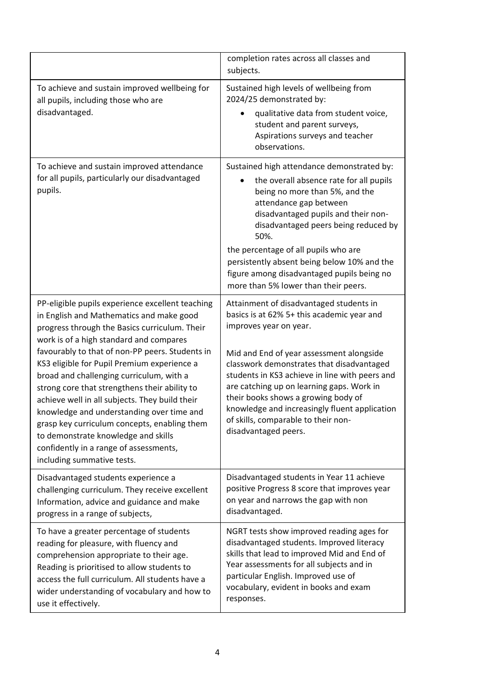|                                                                                                                                                                                                                                                                                                                                                                                                                                                                                                                                                                                                                                                       | completion rates across all classes and<br>subjects.                                                                                                                                                                                                                                                                                                                                                                                                           |
|-------------------------------------------------------------------------------------------------------------------------------------------------------------------------------------------------------------------------------------------------------------------------------------------------------------------------------------------------------------------------------------------------------------------------------------------------------------------------------------------------------------------------------------------------------------------------------------------------------------------------------------------------------|----------------------------------------------------------------------------------------------------------------------------------------------------------------------------------------------------------------------------------------------------------------------------------------------------------------------------------------------------------------------------------------------------------------------------------------------------------------|
| To achieve and sustain improved wellbeing for<br>all pupils, including those who are<br>disadvantaged.                                                                                                                                                                                                                                                                                                                                                                                                                                                                                                                                                | Sustained high levels of wellbeing from<br>2024/25 demonstrated by:<br>qualitative data from student voice,<br>student and parent surveys,<br>Aspirations surveys and teacher<br>observations.                                                                                                                                                                                                                                                                 |
| To achieve and sustain improved attendance<br>for all pupils, particularly our disadvantaged<br>pupils.                                                                                                                                                                                                                                                                                                                                                                                                                                                                                                                                               | Sustained high attendance demonstrated by:<br>the overall absence rate for all pupils<br>being no more than 5%, and the<br>attendance gap between<br>disadvantaged pupils and their non-<br>disadvantaged peers being reduced by<br>50%.<br>the percentage of all pupils who are<br>persistently absent being below 10% and the<br>figure among disadvantaged pupils being no<br>more than 5% lower than their peers.                                          |
| PP-eligible pupils experience excellent teaching<br>in English and Mathematics and make good<br>progress through the Basics curriculum. Their<br>work is of a high standard and compares<br>favourably to that of non-PP peers. Students in<br>KS3 eligible for Pupil Premium experience a<br>broad and challenging curriculum, with a<br>strong core that strengthens their ability to<br>achieve well in all subjects. They build their<br>knowledge and understanding over time and<br>grasp key curriculum concepts, enabling them<br>to demonstrate knowledge and skills<br>confidently in a range of assessments,<br>including summative tests. | Attainment of disadvantaged students in<br>basics is at 62% 5+ this academic year and<br>improves year on year.<br>Mid and End of year assessment alongside<br>classwork demonstrates that disadvantaged<br>students in KS3 achieve in line with peers and<br>are catching up on learning gaps. Work in<br>their books shows a growing body of<br>knowledge and increasingly fluent application<br>of skills, comparable to their non-<br>disadvantaged peers. |
| Disadvantaged students experience a<br>challenging curriculum. They receive excellent<br>Information, advice and guidance and make<br>progress in a range of subjects,                                                                                                                                                                                                                                                                                                                                                                                                                                                                                | Disadvantaged students in Year 11 achieve<br>positive Progress 8 score that improves year<br>on year and narrows the gap with non<br>disadvantaged.                                                                                                                                                                                                                                                                                                            |
| To have a greater percentage of students<br>reading for pleasure, with fluency and<br>comprehension appropriate to their age.<br>Reading is prioritised to allow students to<br>access the full curriculum. All students have a<br>wider understanding of vocabulary and how to<br>use it effectively.                                                                                                                                                                                                                                                                                                                                                | NGRT tests show improved reading ages for<br>disadvantaged students. Improved literacy<br>skills that lead to improved Mid and End of<br>Year assessments for all subjects and in<br>particular English. Improved use of<br>vocabulary, evident in books and exam<br>responses.                                                                                                                                                                                |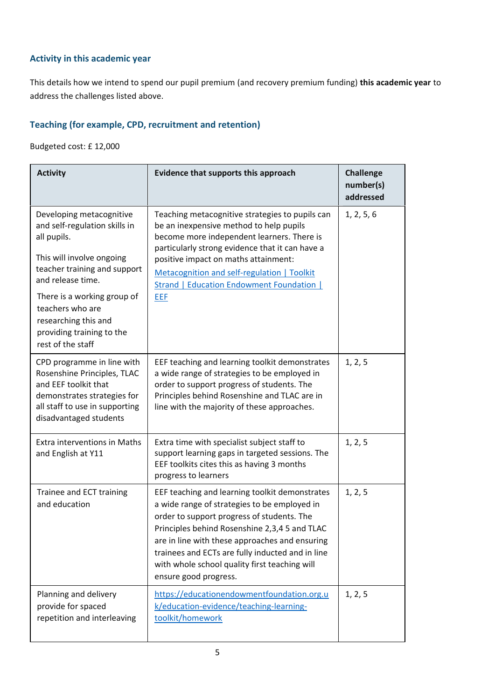### **Activity in this academic year**

This details how we intend to spend our pupil premium (and recovery premium funding) **this academic year** to address the challenges listed above.

# **Teaching (for example, CPD, recruitment and retention)**

Budgeted cost: £ 12,000

| <b>Activity</b>                                                                                                                                                                                                                                                                         | Evidence that supports this approach                                                                                                                                                                                                                                                                                                                                          | <b>Challenge</b><br>number(s)<br>addressed |
|-----------------------------------------------------------------------------------------------------------------------------------------------------------------------------------------------------------------------------------------------------------------------------------------|-------------------------------------------------------------------------------------------------------------------------------------------------------------------------------------------------------------------------------------------------------------------------------------------------------------------------------------------------------------------------------|--------------------------------------------|
| Developing metacognitive<br>and self-regulation skills in<br>all pupils.<br>This will involve ongoing<br>teacher training and support<br>and release time.<br>There is a working group of<br>teachers who are<br>researching this and<br>providing training to the<br>rest of the staff | Teaching metacognitive strategies to pupils can<br>be an inexpensive method to help pupils<br>become more independent learners. There is<br>particularly strong evidence that it can have a<br>positive impact on maths attainment:<br>Metacognition and self-regulation   Toolkit<br><b>Strand   Education Endowment Foundation  </b><br>EEF                                 | 1, 2, 5, 6                                 |
| CPD programme in line with<br>Rosenshine Principles, TLAC<br>and EEF toolkit that<br>demonstrates strategies for<br>all staff to use in supporting<br>disadvantaged students                                                                                                            | EEF teaching and learning toolkit demonstrates<br>a wide range of strategies to be employed in<br>order to support progress of students. The<br>Principles behind Rosenshine and TLAC are in<br>line with the majority of these approaches.                                                                                                                                   | 1, 2, 5                                    |
| <b>Extra interventions in Maths</b><br>and English at Y11                                                                                                                                                                                                                               | Extra time with specialist subject staff to<br>support learning gaps in targeted sessions. The<br>EEF toolkits cites this as having 3 months<br>progress to learners                                                                                                                                                                                                          | 1, 2, 5                                    |
| Trainee and ECT training<br>and education                                                                                                                                                                                                                                               | EEF teaching and learning toolkit demonstrates<br>a wide range of strategies to be employed in<br>order to support progress of students. The<br>Principles behind Rosenshine 2,3,4 5 and TLAC<br>are in line with these approaches and ensuring<br>trainees and ECTs are fully inducted and in line<br>with whole school quality first teaching will<br>ensure good progress. | 1, 2, 5                                    |
| Planning and delivery<br>provide for spaced<br>repetition and interleaving                                                                                                                                                                                                              | https://educationendowmentfoundation.org.u<br>k/education-evidence/teaching-learning-<br>toolkit/homework                                                                                                                                                                                                                                                                     | 1, 2, 5                                    |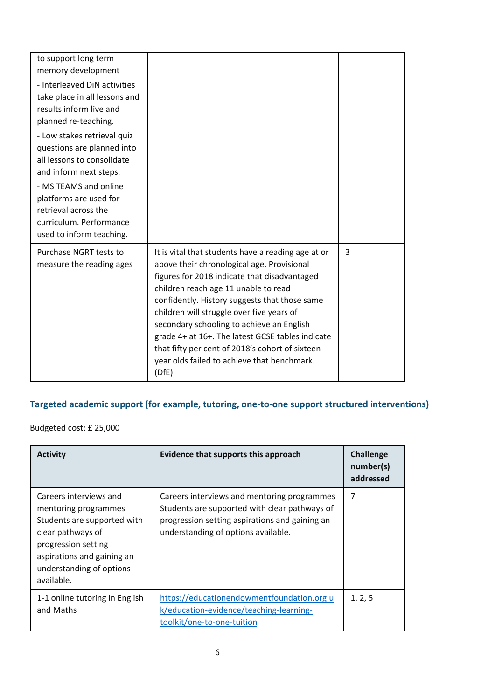| to support long term<br>memory development<br>- Interleaved DiN activities<br>take place in all lessons and<br>results inform live and<br>planned re-teaching.                                                                                      |                                                                                                                                                                                                                                                                                                                                                                                                                                                                                                    |   |
|-----------------------------------------------------------------------------------------------------------------------------------------------------------------------------------------------------------------------------------------------------|----------------------------------------------------------------------------------------------------------------------------------------------------------------------------------------------------------------------------------------------------------------------------------------------------------------------------------------------------------------------------------------------------------------------------------------------------------------------------------------------------|---|
| - Low stakes retrieval quiz<br>questions are planned into<br>all lessons to consolidate<br>and inform next steps.<br>- MS TEAMS and online<br>platforms are used for<br>retrieval across the<br>curriculum. Performance<br>used to inform teaching. |                                                                                                                                                                                                                                                                                                                                                                                                                                                                                                    |   |
| Purchase NGRT tests to<br>measure the reading ages                                                                                                                                                                                                  | It is vital that students have a reading age at or<br>above their chronological age. Provisional<br>figures for 2018 indicate that disadvantaged<br>children reach age 11 unable to read<br>confidently. History suggests that those same<br>children will struggle over five years of<br>secondary schooling to achieve an English<br>grade 4+ at 16+. The latest GCSE tables indicate<br>that fifty per cent of 2018's cohort of sixteen<br>year olds failed to achieve that benchmark.<br>(DfE) | 3 |

# **Targeted academic support (for example, tutoring, one-to-one support structured interventions)**

Budgeted cost: £ 25,000

| <b>Activity</b>                                                                                                                                                                                   | Evidence that supports this approach                                                                                                                                                  | <b>Challenge</b><br>number(s)<br>addressed |
|---------------------------------------------------------------------------------------------------------------------------------------------------------------------------------------------------|---------------------------------------------------------------------------------------------------------------------------------------------------------------------------------------|--------------------------------------------|
| Careers interviews and<br>mentoring programmes<br>Students are supported with<br>clear pathways of<br>progression setting<br>aspirations and gaining an<br>understanding of options<br>available. | Careers interviews and mentoring programmes<br>Students are supported with clear pathways of<br>progression setting aspirations and gaining an<br>understanding of options available. | 7                                          |
| 1-1 online tutoring in English<br>and Maths                                                                                                                                                       | https://educationendowmentfoundation.org.u<br>k/education-evidence/teaching-learning-<br>toolkit/one-to-one-tuition                                                                   | 1, 2, 5                                    |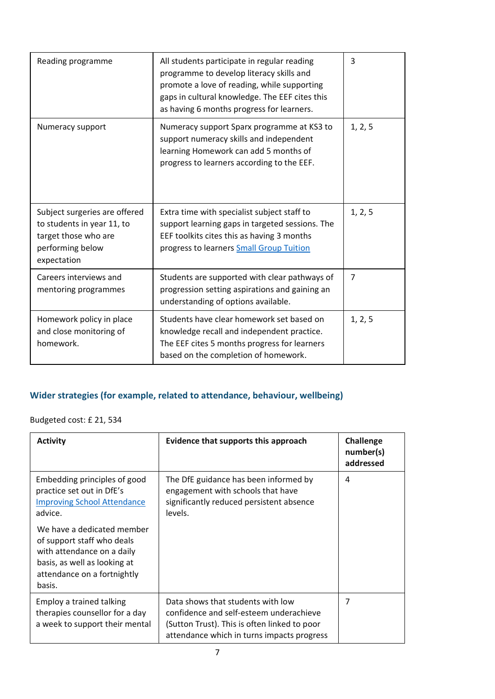| Reading programme                                                                                                      | All students participate in regular reading<br>programme to develop literacy skills and<br>promote a love of reading, while supporting<br>gaps in cultural knowledge. The EEF cites this<br>as having 6 months progress for learners. | 3              |
|------------------------------------------------------------------------------------------------------------------------|---------------------------------------------------------------------------------------------------------------------------------------------------------------------------------------------------------------------------------------|----------------|
| Numeracy support                                                                                                       | Numeracy support Sparx programme at KS3 to<br>support numeracy skills and independent<br>learning Homework can add 5 months of<br>progress to learners according to the EEF.                                                          | 1, 2, 5        |
| Subject surgeries are offered<br>to students in year 11, to<br>target those who are<br>performing below<br>expectation | Extra time with specialist subject staff to<br>support learning gaps in targeted sessions. The<br>EEF toolkits cites this as having 3 months<br>progress to learners Small Group Tuition                                              | 1, 2, 5        |
| Careers interviews and<br>mentoring programmes                                                                         | Students are supported with clear pathways of<br>progression setting aspirations and gaining an<br>understanding of options available.                                                                                                | $\overline{7}$ |
| Homework policy in place<br>and close monitoring of<br>homework.                                                       | Students have clear homework set based on<br>knowledge recall and independent practice.<br>The EEF cites 5 months progress for learners<br>based on the completion of homework.                                                       | 1, 2, 5        |

# **Wider strategies (for example, related to attendance, behaviour, wellbeing)**

Budgeted cost: £ 21, 534

| <b>Activity</b>                                                                                                                                                 | Evidence that supports this approach                                                                                                                                       | Challenge<br>number(s)<br>addressed |
|-----------------------------------------------------------------------------------------------------------------------------------------------------------------|----------------------------------------------------------------------------------------------------------------------------------------------------------------------------|-------------------------------------|
| Embedding principles of good<br>practice set out in DfE's<br><b>Improving School Attendance</b><br>advice.                                                      | The DfE guidance has been informed by<br>engagement with schools that have<br>significantly reduced persistent absence<br>levels.                                          | 4                                   |
| We have a dedicated member<br>of support staff who deals<br>with attendance on a daily<br>basis, as well as looking at<br>attendance on a fortnightly<br>basis. |                                                                                                                                                                            |                                     |
| Employ a trained talking<br>therapies counsellor for a day<br>a week to support their mental                                                                    | Data shows that students with low<br>confidence and self-esteem underachieve<br>(Sutton Trust). This is often linked to poor<br>attendance which in turns impacts progress | 7                                   |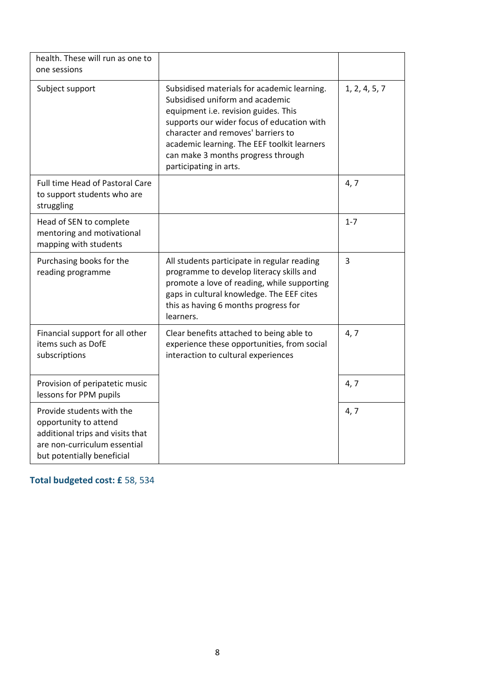| health. These will run as one to<br>one sessions                                                                                                     |                                                                                                                                                                                                                                                                                                                           |               |
|------------------------------------------------------------------------------------------------------------------------------------------------------|---------------------------------------------------------------------------------------------------------------------------------------------------------------------------------------------------------------------------------------------------------------------------------------------------------------------------|---------------|
| Subject support                                                                                                                                      | Subsidised materials for academic learning.<br>Subsidised uniform and academic<br>equipment i.e. revision guides. This<br>supports our wider focus of education with<br>character and removes' barriers to<br>academic learning. The EEF toolkit learners<br>can make 3 months progress through<br>participating in arts. | 1, 2, 4, 5, 7 |
| Full time Head of Pastoral Care<br>to support students who are<br>struggling                                                                         |                                                                                                                                                                                                                                                                                                                           | 4, 7          |
| Head of SEN to complete<br>mentoring and motivational<br>mapping with students                                                                       |                                                                                                                                                                                                                                                                                                                           | $1 - 7$       |
| Purchasing books for the<br>reading programme                                                                                                        | All students participate in regular reading<br>programme to develop literacy skills and<br>promote a love of reading, while supporting<br>gaps in cultural knowledge. The EEF cites<br>this as having 6 months progress for<br>learners.                                                                                  | 3             |
| Financial support for all other<br>items such as DofE<br>subscriptions                                                                               | Clear benefits attached to being able to<br>experience these opportunities, from social<br>interaction to cultural experiences                                                                                                                                                                                            | 4, 7          |
| Provision of peripatetic music<br>lessons for PPM pupils                                                                                             |                                                                                                                                                                                                                                                                                                                           | 4, 7          |
| Provide students with the<br>opportunity to attend<br>additional trips and visits that<br>are non-curriculum essential<br>but potentially beneficial |                                                                                                                                                                                                                                                                                                                           | 4, 7          |

**Total budgeted cost: £** 58, 534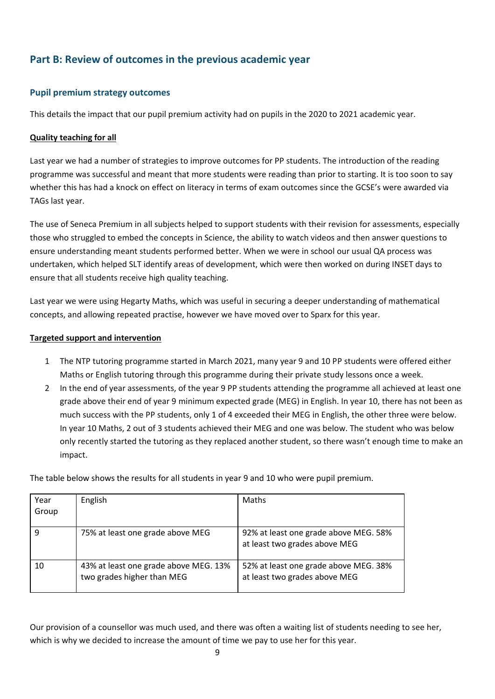# **Part B: Review of outcomes in the previous academic year**

### **Pupil premium strategy outcomes**

This details the impact that our pupil premium activity had on pupils in the 2020 to 2021 academic year.

### **Quality teaching for all**

Last year we had a number of strategies to improve outcomes for PP students. The introduction of the reading programme was successful and meant that more students were reading than prior to starting. It is too soon to say whether this has had a knock on effect on literacy in terms of exam outcomes since the GCSE's were awarded via TAGs last year.

The use of Seneca Premium in all subjects helped to support students with their revision for assessments, especially those who struggled to embed the concepts in Science, the ability to watch videos and then answer questions to ensure understanding meant students performed better. When we were in school our usual QA process was undertaken, which helped SLT identify areas of development, which were then worked on during INSET days to ensure that all students receive high quality teaching.

Last year we were using Hegarty Maths, which was useful in securing a deeper understanding of mathematical concepts, and allowing repeated practise, however we have moved over to Sparx for this year.

#### **Targeted support and intervention**

- 1 The NTP tutoring programme started in March 2021, many year 9 and 10 PP students were offered either Maths or English tutoring through this programme during their private study lessons once a week.
- 2 In the end of year assessments, of the year 9 PP students attending the programme all achieved at least one grade above their end of year 9 minimum expected grade (MEG) in English. In year 10, there has not been as much success with the PP students, only 1 of 4 exceeded their MEG in English, the other three were below. In year 10 Maths, 2 out of 3 students achieved their MEG and one was below. The student who was below only recently started the tutoring as they replaced another student, so there wasn't enough time to make an impact.

The table below shows the results for all students in year 9 and 10 who were pupil premium.

| Year<br>Group | English                                                             | Maths                                                                  |
|---------------|---------------------------------------------------------------------|------------------------------------------------------------------------|
| 9             | 75% at least one grade above MEG                                    | 92% at least one grade above MEG. 58%<br>at least two grades above MEG |
| 10            | 43% at least one grade above MEG. 13%<br>two grades higher than MEG | 52% at least one grade above MEG. 38%<br>at least two grades above MEG |

Our provision of a counsellor was much used, and there was often a waiting list of students needing to see her, which is why we decided to increase the amount of time we pay to use her for this year.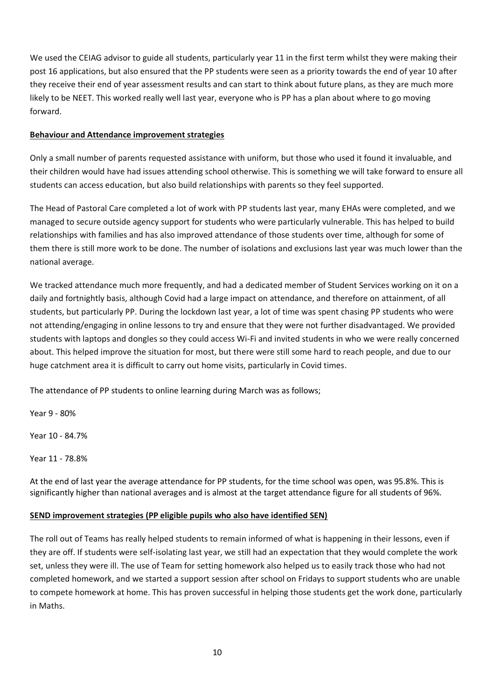We used the CEIAG advisor to guide all students, particularly year 11 in the first term whilst they were making their post 16 applications, but also ensured that the PP students were seen as a priority towards the end of year 10 after they receive their end of year assessment results and can start to think about future plans, as they are much more likely to be NEET. This worked really well last year, everyone who is PP has a plan about where to go moving forward.

### **Behaviour and Attendance improvement strategies**

Only a small number of parents requested assistance with uniform, but those who used it found it invaluable, and their children would have had issues attending school otherwise. This is something we will take forward to ensure all students can access education, but also build relationships with parents so they feel supported.

The Head of Pastoral Care completed a lot of work with PP students last year, many EHAs were completed, and we managed to secure outside agency support for students who were particularly vulnerable. This has helped to build relationships with families and has also improved attendance of those students over time, although for some of them there is still more work to be done. The number of isolations and exclusions last year was much lower than the national average.

We tracked attendance much more frequently, and had a dedicated member of Student Services working on it on a daily and fortnightly basis, although Covid had a large impact on attendance, and therefore on attainment, of all students, but particularly PP. During the lockdown last year, a lot of time was spent chasing PP students who were not attending/engaging in online lessons to try and ensure that they were not further disadvantaged. We provided students with laptops and dongles so they could access Wi-Fi and invited students in who we were really concerned about. This helped improve the situation for most, but there were still some hard to reach people, and due to our huge catchment area it is difficult to carry out home visits, particularly in Covid times.

The attendance of PP students to online learning during March was as follows;

Year 9 - 80%

Year 10 - 84.7%

Year 11 - 78.8%

At the end of last year the average attendance for PP students, for the time school was open, was 95.8%. This is significantly higher than national averages and is almost at the target attendance figure for all students of 96%.

#### **SEND improvement strategies (PP eligible pupils who also have identified SEN)**

The roll out of Teams has really helped students to remain informed of what is happening in their lessons, even if they are off. If students were self-isolating last year, we still had an expectation that they would complete the work set, unless they were ill. The use of Team for setting homework also helped us to easily track those who had not completed homework, and we started a support session after school on Fridays to support students who are unable to compete homework at home. This has proven successful in helping those students get the work done, particularly in Maths.